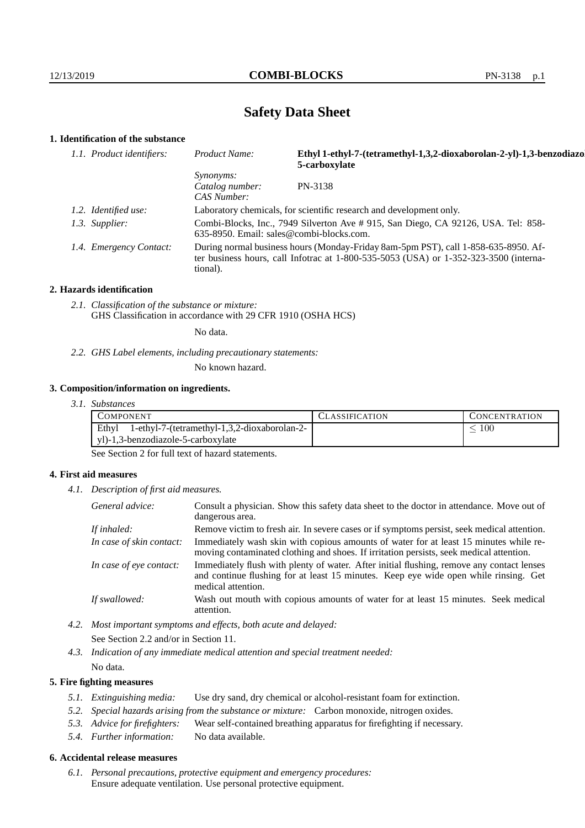# **Safety Data Sheet**

# **1. Identification of the substance**

| 1.1. Product identifiers: | Ethyl 1-ethyl-7-(tetramethyl-1,3,2-dioxaborolan-2-yl)-1,3-benzodiazol<br>Product Name:<br>5-carboxylate                                                                                     |         |
|---------------------------|---------------------------------------------------------------------------------------------------------------------------------------------------------------------------------------------|---------|
|                           | <i>Synonyms:</i><br>Catalog number:<br>CAS Number:                                                                                                                                          | PN-3138 |
| 1.2. Identified use:      | Laboratory chemicals, for scientific research and development only.                                                                                                                         |         |
| 1.3. Supplier:            | Combi-Blocks, Inc., 7949 Silverton Ave # 915, San Diego, CA 92126, USA. Tel: 858-<br>635-8950. Email: sales@combi-blocks.com.                                                               |         |
| 1.4. Emergency Contact:   | During normal business hours (Monday-Friday 8am-5pm PST), call 1-858-635-8950. Af-<br>ter business hours, call Infotrac at $1-800-535-5053$ (USA) or $1-352-323-3500$ (interna-<br>tional). |         |

#### **2. Hazards identification**

*2.1. Classification of the substance or mixture:* GHS Classification in accordance with 29 CFR 1910 (OSHA HCS)

No data.

*2.2. GHS Label elements, including precautionary statements:*

No known hazard.

## **3. Composition/information on ingredients.**

| 3. I.<br><i>Substances</i> |  |
|----------------------------|--|
|----------------------------|--|

| COMPONENT                                             | LLASSIFICATION. | CONCENTRATION |
|-------------------------------------------------------|-----------------|---------------|
| Ethyl<br>1-ethyl-7-(tetramethyl-1,3,2-dioxaborolan-2- |                 | 100           |
| yl)-1,3-benzodiazole-5-carboxylate                    |                 |               |

See Section 2 for full text of hazard statements.

## **4. First aid measures**

*4.1. Description of first aid measures.*

| General advice:          | Consult a physician. Show this safety data sheet to the doctor in attendance. Move out of<br>dangerous area.                                                                                            |  |
|--------------------------|---------------------------------------------------------------------------------------------------------------------------------------------------------------------------------------------------------|--|
| If inhaled:              | Remove victim to fresh air. In severe cases or if symptoms persist, seek medical attention.                                                                                                             |  |
| In case of skin contact: | Immediately wash skin with copious amounts of water for at least 15 minutes while re-<br>moving contaminated clothing and shoes. If irritation persists, seek medical attention.                        |  |
| In case of eye contact:  | Immediately flush with plenty of water. After initial flushing, remove any contact lenses<br>and continue flushing for at least 15 minutes. Keep eye wide open while rinsing. Get<br>medical attention. |  |
| If swallowed:            | Wash out mouth with copious amounts of water for at least 15 minutes. Seek medical<br>attention.                                                                                                        |  |

*4.2. Most important symptoms and effects, both acute and delayed:* See Section 2.2 and/or in Section 11.

*4.3. Indication of any immediate medical attention and special treatment needed:* No data.

## **5. Fire fighting measures**

- *5.1. Extinguishing media:* Use dry sand, dry chemical or alcohol-resistant foam for extinction.
- *5.2. Special hazards arising from the substance or mixture:* Carbon monoxide, nitrogen oxides.
- *5.3. Advice for firefighters:* Wear self-contained breathing apparatus for firefighting if necessary.
- *5.4. Further information:* No data available.

## **6. Accidental release measures**

*6.1. Personal precautions, protective equipment and emergency procedures:* Ensure adequate ventilation. Use personal protective equipment.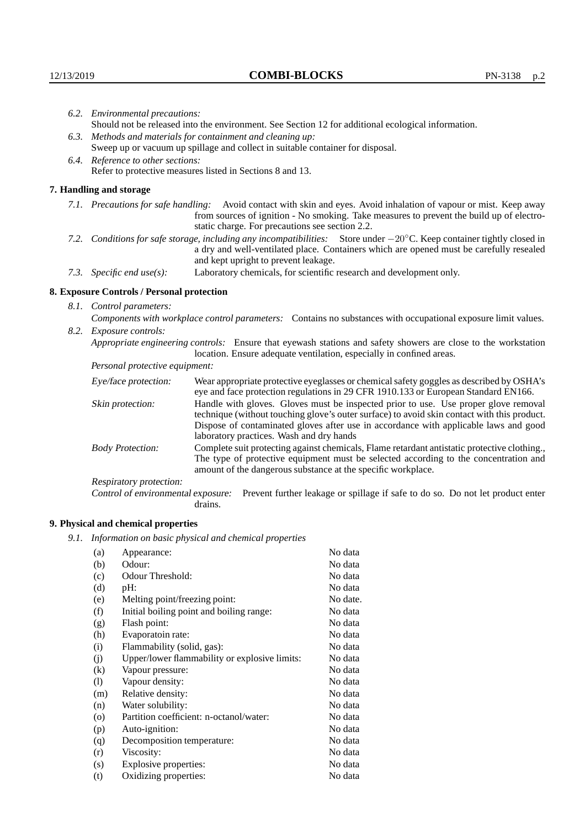|                           | 6.2. Environmental precautions:                                                                                                                                                                                                                                    |                                                                                                                                                                                                                                                                            |  |
|---------------------------|--------------------------------------------------------------------------------------------------------------------------------------------------------------------------------------------------------------------------------------------------------------------|----------------------------------------------------------------------------------------------------------------------------------------------------------------------------------------------------------------------------------------------------------------------------|--|
|                           |                                                                                                                                                                                                                                                                    | Should not be released into the environment. See Section 12 for additional ecological information.                                                                                                                                                                         |  |
|                           | 6.3. Methods and materials for containment and cleaning up:                                                                                                                                                                                                        |                                                                                                                                                                                                                                                                            |  |
|                           | Sweep up or vacuum up spillage and collect in suitable container for disposal.                                                                                                                                                                                     |                                                                                                                                                                                                                                                                            |  |
|                           | 6.4. Reference to other sections:                                                                                                                                                                                                                                  |                                                                                                                                                                                                                                                                            |  |
|                           |                                                                                                                                                                                                                                                                    | Refer to protective measures listed in Sections 8 and 13.                                                                                                                                                                                                                  |  |
|                           | 7. Handling and storage                                                                                                                                                                                                                                            |                                                                                                                                                                                                                                                                            |  |
|                           | 7.1. Precautions for safe handling: Avoid contact with skin and eyes. Avoid inhalation of vapour or mist. Keep away<br>from sources of ignition - No smoking. Take measures to prevent the build up of electro-<br>static charge. For precautions see section 2.2. |                                                                                                                                                                                                                                                                            |  |
|                           |                                                                                                                                                                                                                                                                    | 7.2. Conditions for safe storage, including any incompatibilities: Store under $-20^{\circ}$ C. Keep container tightly closed in<br>a dry and well-ventilated place. Containers which are opened must be carefully resealed<br>and kept upright to prevent leakage.        |  |
| 7.3. Specific end use(s): |                                                                                                                                                                                                                                                                    | Laboratory chemicals, for scientific research and development only.                                                                                                                                                                                                        |  |
|                           | 8. Exposure Controls / Personal protection                                                                                                                                                                                                                         |                                                                                                                                                                                                                                                                            |  |
|                           | 8.1. Control parameters:                                                                                                                                                                                                                                           |                                                                                                                                                                                                                                                                            |  |
|                           |                                                                                                                                                                                                                                                                    | Components with workplace control parameters: Contains no substances with occupational exposure limit values.                                                                                                                                                              |  |
|                           | 8.2. Exposure controls:                                                                                                                                                                                                                                            |                                                                                                                                                                                                                                                                            |  |
|                           | Appropriate engineering controls: Ensure that eyewash stations and safety showers are close to the workstation<br>location. Ensure adequate ventilation, especially in confined areas.                                                                             |                                                                                                                                                                                                                                                                            |  |
|                           | Personal protective equipment:                                                                                                                                                                                                                                     |                                                                                                                                                                                                                                                                            |  |
|                           | Eye/face protection:                                                                                                                                                                                                                                               | Wear appropriate protective eyeglasses or chemical safety goggles as described by OSHA's<br>eye and face protection regulations in 29 CFR 1910.133 or European Standard EN166.                                                                                             |  |
|                           | Skin protection:                                                                                                                                                                                                                                                   | Handle with gloves. Gloves must be inspected prior to use. Use proper glove removal<br>technique (without touching glove's outer surface) to avoid skin contact with this product.<br>Dispose of contaminated gloves after use in accordance with applicable laws and good |  |

laboratory practices. Wash and dry hands Body Protection: Complete suit protecting against chemicals, Flame retardant antistatic protective clothing., The type of protective equipment must be selected according to the concentration and amount of the dangerous substance at the specific workplace.

Respiratory protection:

Control of environmental exposure: Prevent further leakage or spillage if safe to do so. Do not let product enter drains.

# **9. Physical and chemical properties**

*9.1. Information on basic physical and chemical properties*

| (a)                        | Appearance:                                   | No data  |
|----------------------------|-----------------------------------------------|----------|
| (b)                        | Odour:                                        | No data  |
| (c)                        | Odour Threshold:                              | No data  |
| (d)                        | pH:                                           | No data  |
| (e)                        | Melting point/freezing point:                 | No date. |
| (f)                        | Initial boiling point and boiling range:      | No data  |
| (g)                        | Flash point:                                  | No data  |
| (h)                        | Evaporatoin rate:                             | No data  |
| (i)                        | Flammability (solid, gas):                    | No data  |
| (j)                        | Upper/lower flammability or explosive limits: | No data  |
| $\left( k\right)$          | Vapour pressure:                              | No data  |
| $\left( \mathrm{l}\right)$ | Vapour density:                               | No data  |
| (m)                        | Relative density:                             | No data  |
| (n)                        | Water solubility:                             | No data  |
| $\circ$                    | Partition coefficient: n-octanol/water:       | No data  |
| (p)                        | Auto-ignition:                                | No data  |
| (q)                        | Decomposition temperature:                    | No data  |
| (r)                        | Viscosity:                                    | No data  |
| (s)                        | Explosive properties:                         | No data  |
| (t)                        | Oxidizing properties:                         | No data  |